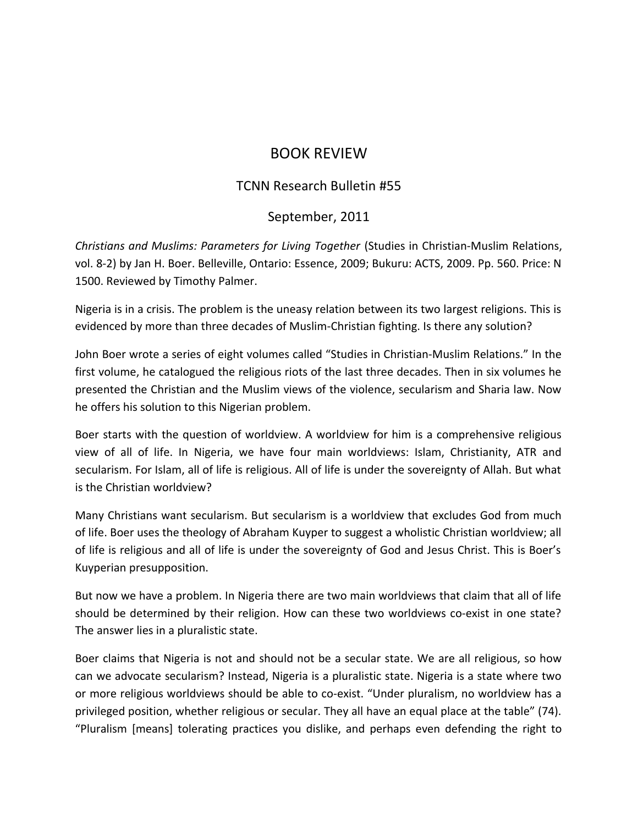## BOOK REVIEW

## TCNN Research Bulletin #55

## September, 2011

*Christians and Muslims: Parameters for Living Together* (Studies in Christian-Muslim Relations, vol. 8-2) by Jan H. Boer. Belleville, Ontario: Essence, 2009; Bukuru: ACTS, 2009. Pp. 560. Price: N 1500. Reviewed by Timothy Palmer.

Nigeria is in a crisis. The problem is the uneasy relation between its two largest religions. This is evidenced by more than three decades of Muslim-Christian fighting. Is there any solution?

John Boer wrote a series of eight volumes called "Studies in Christian-Muslim Relations." In the first volume, he catalogued the religious riots of the last three decades. Then in six volumes he presented the Christian and the Muslim views of the violence, secularism and Sharia law. Now he offers his solution to this Nigerian problem.

Boer starts with the question of worldview. A worldview for him is a comprehensive religious view of all of life. In Nigeria, we have four main worldviews: Islam, Christianity, ATR and secularism. For Islam, all of life is religious. All of life is under the sovereignty of Allah. But what is the Christian worldview?

Many Christians want secularism. But secularism is a worldview that excludes God from much of life. Boer uses the theology of Abraham Kuyper to suggest a wholistic Christian worldview; all of life is religious and all of life is under the sovereignty of God and Jesus Christ. This is Boer's Kuyperian presupposition.

But now we have a problem. In Nigeria there are two main worldviews that claim that all of life should be determined by their religion. How can these two worldviews co-exist in one state? The answer lies in a pluralistic state.

Boer claims that Nigeria is not and should not be a secular state. We are all religious, so how can we advocate secularism? Instead, Nigeria is a pluralistic state. Nigeria is a state where two or more religious worldviews should be able to co-exist. "Under pluralism, no worldview has a privileged position, whether religious or secular. They all have an equal place at the table" (74). "Pluralism [means] tolerating practices you dislike, and perhaps even defending the right to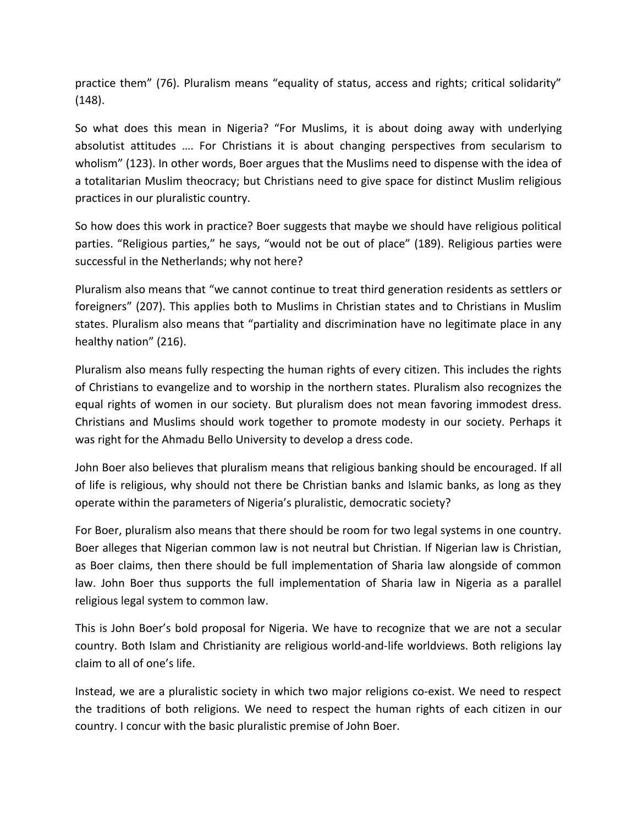practice them" (76). Pluralism means "equality of status, access and rights; critical solidarity" (148).

So what does this mean in Nigeria? "For Muslims, it is about doing away with underlying absolutist attitudes …. For Christians it is about changing perspectives from secularism to wholism" (123). In other words, Boer argues that the Muslims need to dispense with the idea of a totalitarian Muslim theocracy; but Christians need to give space for distinct Muslim religious practices in our pluralistic country.

So how does this work in practice? Boer suggests that maybe we should have religious political parties. "Religious parties," he says, "would not be out of place" (189). Religious parties were successful in the Netherlands; why not here?

Pluralism also means that "we cannot continue to treat third generation residents as settlers or foreigners" (207). This applies both to Muslims in Christian states and to Christians in Muslim states. Pluralism also means that "partiality and discrimination have no legitimate place in any healthy nation" (216).

Pluralism also means fully respecting the human rights of every citizen. This includes the rights of Christians to evangelize and to worship in the northern states. Pluralism also recognizes the equal rights of women in our society. But pluralism does not mean favoring immodest dress. Christians and Muslims should work together to promote modesty in our society. Perhaps it was right for the Ahmadu Bello University to develop a dress code.

John Boer also believes that pluralism means that religious banking should be encouraged. If all of life is religious, why should not there be Christian banks and Islamic banks, as long as they operate within the parameters of Nigeria's pluralistic, democratic society?

For Boer, pluralism also means that there should be room for two legal systems in one country. Boer alleges that Nigerian common law is not neutral but Christian. If Nigerian law is Christian, as Boer claims, then there should be full implementation of Sharia law alongside of common law. John Boer thus supports the full implementation of Sharia law in Nigeria as a parallel religious legal system to common law.

This is John Boer's bold proposal for Nigeria. We have to recognize that we are not a secular country. Both Islam and Christianity are religious world-and-life worldviews. Both religions lay claim to all of one's life.

Instead, we are a pluralistic society in which two major religions co-exist. We need to respect the traditions of both religions. We need to respect the human rights of each citizen in our country. I concur with the basic pluralistic premise of John Boer.